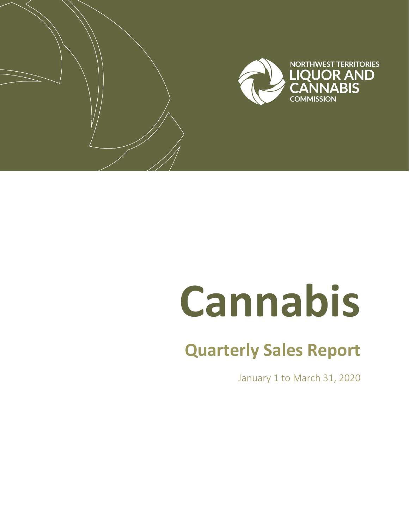

# **Cannabis**

# **Quarterly Sales Report**

January 1 to March 31, 2020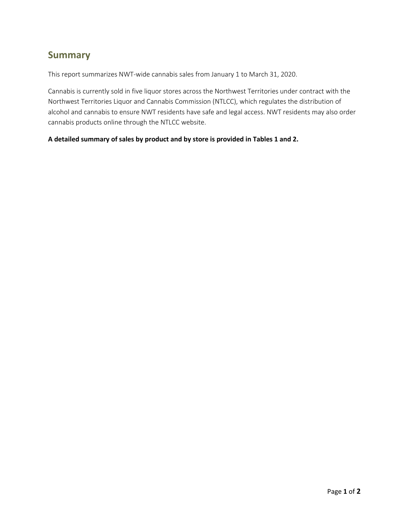### **Summary**

This report summarizes NWT-wide cannabis sales from January 1 to March 31, 2020.

Cannabis is currently sold in five liquor stores across the Northwest Territories under contract with the Northwest Territories Liquor and Cannabis Commission (NTLCC), which regulates the distribution of alcohol and cannabis to ensure NWT residents have safe and legal access. NWT residents may also order cannabis products online through the NTLCC website.

#### **A detailed summary of sales by product and by store is provided in Tables 1 and 2.**